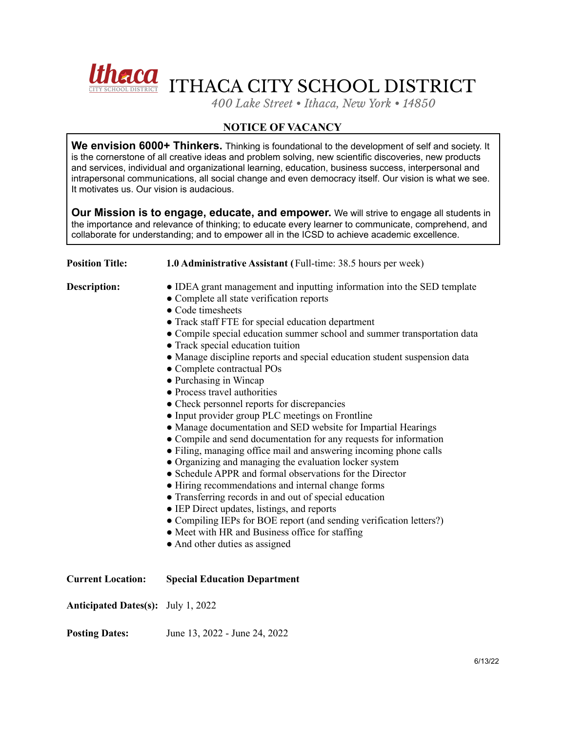

*400 Lake Street • Ithaca, New York • 14850*

## **NOTICE OF VACANCY**

**We envision 6000+ Thinkers.** Thinking is foundational to the development of self and society. It is the cornerstone of all creative ideas and problem solving, new scientific discoveries, new products and services, individual and organizational learning, education, business success, interpersonal and intrapersonal communications, all social change and even democracy itself. Our vision is what we see. It motivates us. Our vision is audacious.

**Our Mission is to engage, educate, and empower.** We will strive to engage all students in the importance and relevance of thinking; to educate every learner to communicate, comprehend, and collaborate for understanding; and to empower all in the ICSD to achieve academic excellence.

| <b>Position Title:</b>                    | 1.0 Administrative Assistant (Full-time: 38.5 hours per week)                                                                                                                                                                                                                                                                                                                                                                                                                                                                                                                                                                                                                                                                                                                                                                                                                                                                                                                                                                                                                                                                                                                                                                                        |
|-------------------------------------------|------------------------------------------------------------------------------------------------------------------------------------------------------------------------------------------------------------------------------------------------------------------------------------------------------------------------------------------------------------------------------------------------------------------------------------------------------------------------------------------------------------------------------------------------------------------------------------------------------------------------------------------------------------------------------------------------------------------------------------------------------------------------------------------------------------------------------------------------------------------------------------------------------------------------------------------------------------------------------------------------------------------------------------------------------------------------------------------------------------------------------------------------------------------------------------------------------------------------------------------------------|
| <b>Description:</b>                       | • IDEA grant management and inputting information into the SED template<br>• Complete all state verification reports<br>• Code timesheets<br>• Track staff FTE for special education department<br>• Compile special education summer school and summer transportation data<br>• Track special education tuition<br>• Manage discipline reports and special education student suspension data<br>• Complete contractual POs<br>• Purchasing in Wincap<br>• Process travel authorities<br>• Check personnel reports for discrepancies<br>• Input provider group PLC meetings on Frontline<br>• Manage documentation and SED website for Impartial Hearings<br>• Compile and send documentation for any requests for information<br>• Filing, managing office mail and answering incoming phone calls<br>• Organizing and managing the evaluation locker system<br>• Schedule APPR and formal observations for the Director<br>• Hiring recommendations and internal change forms<br>• Transferring records in and out of special education<br>• IEP Direct updates, listings, and reports<br>• Compiling IEPs for BOE report (and sending verification letters?)<br>• Meet with HR and Business office for staffing<br>• And other duties as assigned |
| <b>Current Location:</b>                  | <b>Special Education Department</b>                                                                                                                                                                                                                                                                                                                                                                                                                                                                                                                                                                                                                                                                                                                                                                                                                                                                                                                                                                                                                                                                                                                                                                                                                  |
| <b>Anticipated Dates(s):</b> July 1, 2022 |                                                                                                                                                                                                                                                                                                                                                                                                                                                                                                                                                                                                                                                                                                                                                                                                                                                                                                                                                                                                                                                                                                                                                                                                                                                      |
| <b>Posting Dates:</b>                     | June 13, 2022 - June 24, 2022                                                                                                                                                                                                                                                                                                                                                                                                                                                                                                                                                                                                                                                                                                                                                                                                                                                                                                                                                                                                                                                                                                                                                                                                                        |